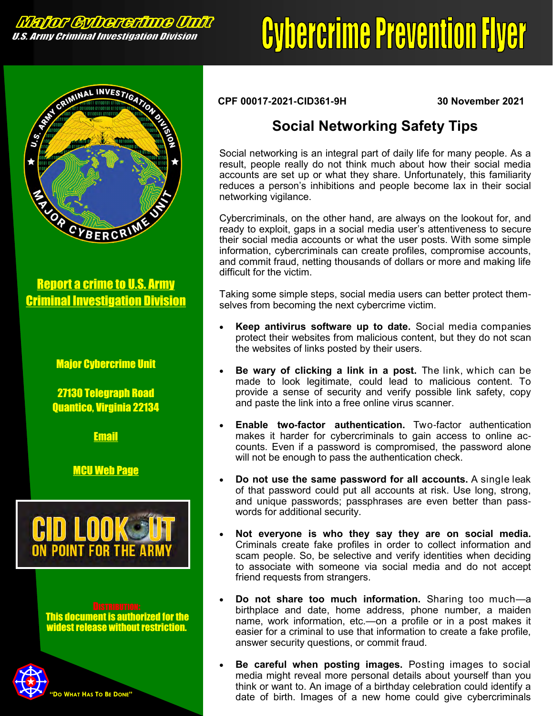**Major Gybererinne Unit** U.S. Army Criminal Investigation Division

## **Cybercrime Prevention Flyer**



Report a crime to U.S. Army [Criminal Investigation Division](https://www.cid.army.mil/report-a-crime.html)

## Major Cybercrime Unit

27130 Telegraph Road Quantico, Virginia 22134

[Email](mailto:usarmy.belvoir.usacidc.mbx.mcu-cyber-crime-intelligence@army.mil?subject=Cybercrime%20Prevention%20Flyer)

[MCU Web Page](https://www.cid.army.mil/701st.html#sec6)



This document is authorized for the widest release without restriction.



**CPF 00017-2021-CID361-9H 30 November 2021**

## **Social Networking Safety Tips**

Social networking is an integral part of daily life for many people. As a result, people really do not think much about how their social media accounts are set up or what they share. Unfortunately, this familiarity reduces a person's inhibitions and people become lax in their social networking vigilance.

Cybercriminals, on the other hand, are always on the lookout for, and ready to exploit, gaps in a social media user's attentiveness to secure their social media accounts or what the user posts. With some simple information, cybercriminals can create profiles, compromise accounts, and commit fraud, netting thousands of dollars or more and making life difficult for the victim.

Taking some simple steps, social media users can better protect themselves from becoming the next cybercrime victim.

- **Keep antivirus software up to date.** Social media companies protect their websites from malicious content, but they do not scan the websites of links posted by their users.
- **Be wary of clicking a link in a post.** The link, which can be made to look legitimate, could lead to malicious content. To provide a sense of security and verify possible link safety, copy and paste the link into a free online virus scanner.
- **Enable two-factor authentication.** Two-factor authentication makes it harder for cybercriminals to gain access to online accounts. Even if a password is compromised, the password alone will not be enough to pass the authentication check.
- **Do not use the same password for all accounts.** A single leak of that password could put all accounts at risk. Use long, strong, and unique passwords; passphrases are even better than passwords for additional security.
- **Not everyone is who they say they are on social media.**  Criminals create fake profiles in order to collect information and scam people. So, be selective and verify identities when deciding to associate with someone via social media and do not accept friend requests from strangers.
- **Do not share too much information.** Sharing too much—a birthplace and date, home address, phone number, a maiden name, work information, etc.—on a profile or in a post makes it easier for a criminal to use that information to create a fake profile, answer security questions, or commit fraud.
- **Be careful when posting images.** Posting images to social media might reveal more personal details about yourself than you think or want to. An image of a birthday celebration could identify a date of birth. Images of a new home could give cybercriminals